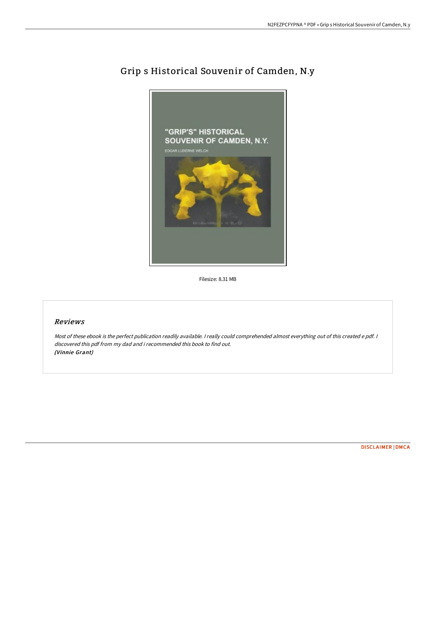

## Grip s Historical Souvenir of Camden, N.y

Filesize: 8.31 MB

## Reviews

Most of these ebook is the perfect publication readily available. <sup>I</sup> really could comprehended almost everything out of this created <sup>e</sup> pdf. <sup>I</sup> discovered this pdf from my dad and i recommended this book to find out. (Vinnie Grant)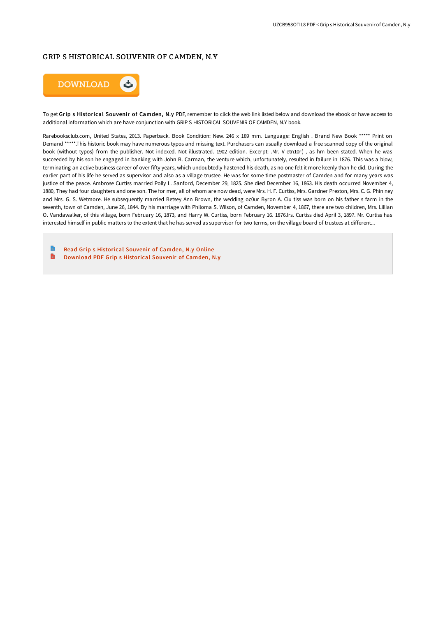## GRIP S HISTORICAL SOUVENIR OF CAMDEN, N.Y



To get Grip s Historical Souvenir of Camden, N.y PDF, remember to click the web link listed below and download the ebook or have access to additional information which are have conjunction with GRIP S HISTORICAL SOUVENIR OF CAMDEN, N.Y book.

Rarebooksclub.com, United States, 2013. Paperback. Book Condition: New. 246 x 189 mm. Language: English . Brand New Book \*\*\*\*\* Print on Demand \*\*\*\*\*.This historic book may have numerous typos and missing text. Purchasers can usually download a free scanned copy of the original book (without typos) from the publisher. Not indexed. Not illustrated. 1902 edition. Excerpt: .Mr. V-etn10r( , as hm been stated. When he was succeeded by his son he engaged in banking with John B. Carman, the venture which, unfortunately, resulted in failure in 1876. This was a blow, terminating an active business career of over fifty years, which undoubtedly hastened his death, as no one felt it more keenly than he did. During the earlier part of his life he served as supervisor and also as a village trustee. He was for some time postmaster of Camden and for many years was justice of the peace. Ambrose Curtiss married Polly L. Sanford, December 29, 1825. She died December 16, 1863. His death occurred November 4, 1880, They had four daughters and one son. The for mer, all of whom are now dead, were Mrs. H. F. Curtiss, Mrs. Gardner Preston, Mrs. C. G. Phin ney and Mrs. G. S. Wetmore. He subsequently married Betsey Ann Brown, the wedding oc0ur Byron A. Ciu tiss was born on his father s farm in the seventh, town of Camden, June 26, 1844. By his marriage with Philoma S. Wilson, of Camden, November 4, 1867, there are two children, Mrs. Lillian O. Vandawalker, of this village, born February 16, 1873, and Harry W. Curtiss, born February 16. 1876.Irs. Curtiss died April 3, 1897. Mr. Curtiss has interested himself in public matters to the extent that he has served as supervisor for two terms, on the village board of trustees at different...

Read Grip s [Historical](http://www.bookdirs.com/grip-s-historical-souvenir-of-camden-n-y-paperba.html) Souvenir of Camden, N.y Online B [Download](http://www.bookdirs.com/grip-s-historical-souvenir-of-camden-n-y-paperba.html) PDF Grip s Historical Souvenir of Camden, N.y